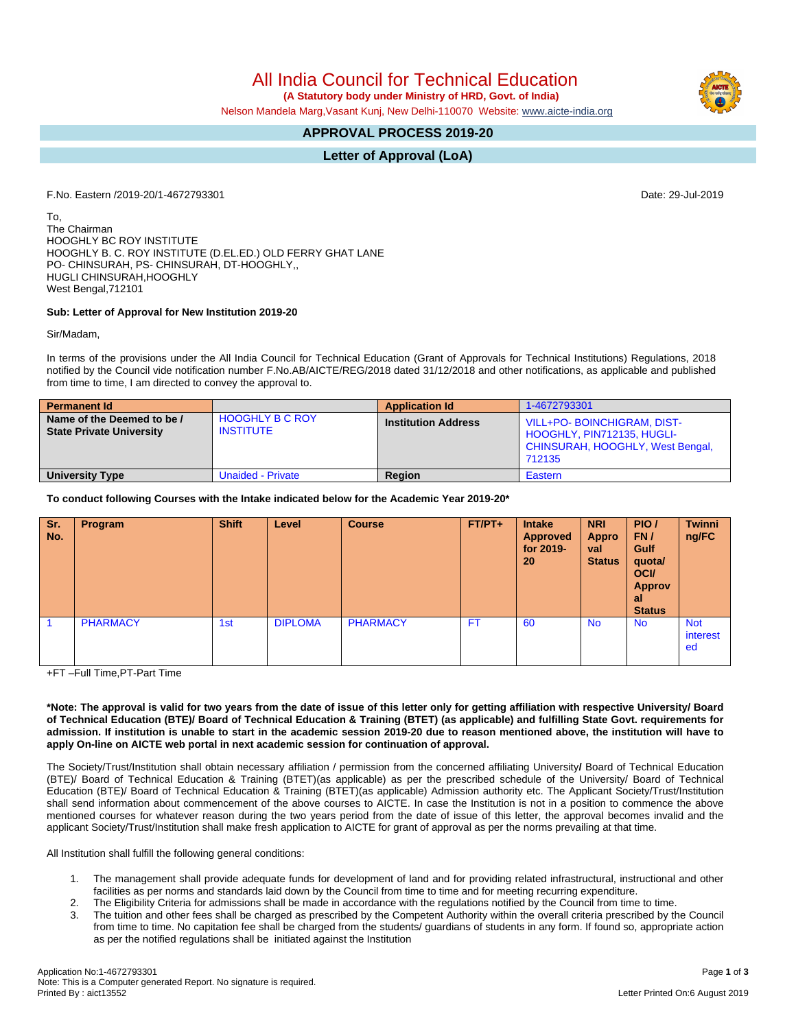All India Council for Technical Education

 **(A Statutory body under Ministry of HRD, Govt. of India)**

Nelson Mandela Marg,Vasant Kunj, New Delhi-110070 Website: [www.aicte-india.org](http://www.aicte-india.org)

# **APPROVAL PROCESS 2019-20**

## **Letter of Approval (LoA)**

F.No. Eastern /2019-20/1-4672793301 Date: 29-Jul-2019

To, The Chairman HOOGHLY BC ROY INSTITUTE HOOGHLY B. C. ROY INSTITUTE (D.EL.ED.) OLD FERRY GHAT LANE PO- CHINSURAH, PS- CHINSURAH, DT-HOOGHLY,, HUGLI CHINSURAH,HOOGHLY West Bengal,712101

#### **Sub: Letter of Approval for New Institution 2019-20**

Sir/Madam,

In terms of the provisions under the All India Council for Technical Education (Grant of Approvals for Technical Institutions) Regulations, 2018 notified by the Council vide notification number F.No.AB/AICTE/REG/2018 dated 31/12/2018 and other notifications, as applicable and published from time to time, I am directed to convey the approval to.

| <b>Permanent Id</b>                                           |                                            | <b>Application Id</b>      | 1-4672793301                                                                                                  |
|---------------------------------------------------------------|--------------------------------------------|----------------------------|---------------------------------------------------------------------------------------------------------------|
| Name of the Deemed to be /<br><b>State Private University</b> | <b>HOOGHLY B C ROY</b><br><b>INSTITUTE</b> | <b>Institution Address</b> | <b>VILL+PO-BOINCHIGRAM, DIST-</b><br>HOOGHLY, PIN712135, HUGLI-<br>CHINSURAH, HOOGHLY, West Bengal,<br>712135 |
| <b>University Type</b>                                        | <b>Unaided - Private</b>                   | Region                     | Eastern                                                                                                       |

#### **To conduct following Courses with the Intake indicated below for the Academic Year 2019-20\***

| Sr.<br>No. | Program         | <b>Shift</b> | Level          | <b>Course</b>   | $FT/PT+$ | <b>Intake</b><br><b>Approved</b><br>for 2019-<br>20 | <b>NRI</b><br><b>Appro</b><br>val<br><b>Status</b> | PIO/<br>FN/<br>Gulf<br>quota/<br><b>OCI/</b><br><b>Approv</b><br>-al<br><b>Status</b> | <b>Twinni</b><br>ng/FC       |
|------------|-----------------|--------------|----------------|-----------------|----------|-----------------------------------------------------|----------------------------------------------------|---------------------------------------------------------------------------------------|------------------------------|
|            | <b>PHARMACY</b> | 1st          | <b>DIPLOMA</b> | <b>PHARMACY</b> | FT       | 60                                                  | <b>No</b>                                          | <b>No</b>                                                                             | <b>Not</b><br>interest<br>ed |

+FT –Full Time,PT-Part Time

\*Note: The approval is valid for two years from the date of issue of this letter only for getting affiliation with respective University/ Board of Technical Education (BTE)/ Board of Technical Education & Training (BTET) (as applicable) and fulfilling State Govt. requirements for admission. If institution is unable to start in the academic session 2019-20 due to reason mentioned above, the institution will have to **apply On-line on AICTE web portal in next academic session for continuation of approval.**

The Society/Trust/Institution shall obtain necessary affiliation / permission from the concerned affiliating University**/** Board of Technical Education (BTE)/ Board of Technical Education & Training (BTET)(as applicable) as per the prescribed schedule of the University/ Board of Technical Education (BTE)/ Board of Technical Education & Training (BTET)(as applicable) Admission authority etc. The Applicant Society/Trust/Institution shall send information about commencement of the above courses to AICTE. In case the Institution is not in a position to commence the above mentioned courses for whatever reason during the two years period from the date of issue of this letter, the approval becomes invalid and the applicant Society/Trust/Institution shall make fresh application to AICTE for grant of approval as per the norms prevailing at that time.

All Institution shall fulfill the following general conditions:

- 1. The management shall provide adequate funds for development of land and for providing related infrastructural, instructional and other facilities as per norms and standards laid down by the Council from time to time and for meeting recurring expenditure.
- 2. The Eligibility Criteria for admissions shall be made in accordance with the regulations notified by the Council from time to time.
- 3. The tuition and other fees shall be charged as prescribed by the Competent Authority within the overall criteria prescribed by the Council from time to time. No capitation fee shall be charged from the students/ guardians of students in any form. If found so, appropriate action as per the notified regulations shall be initiated against the Institution

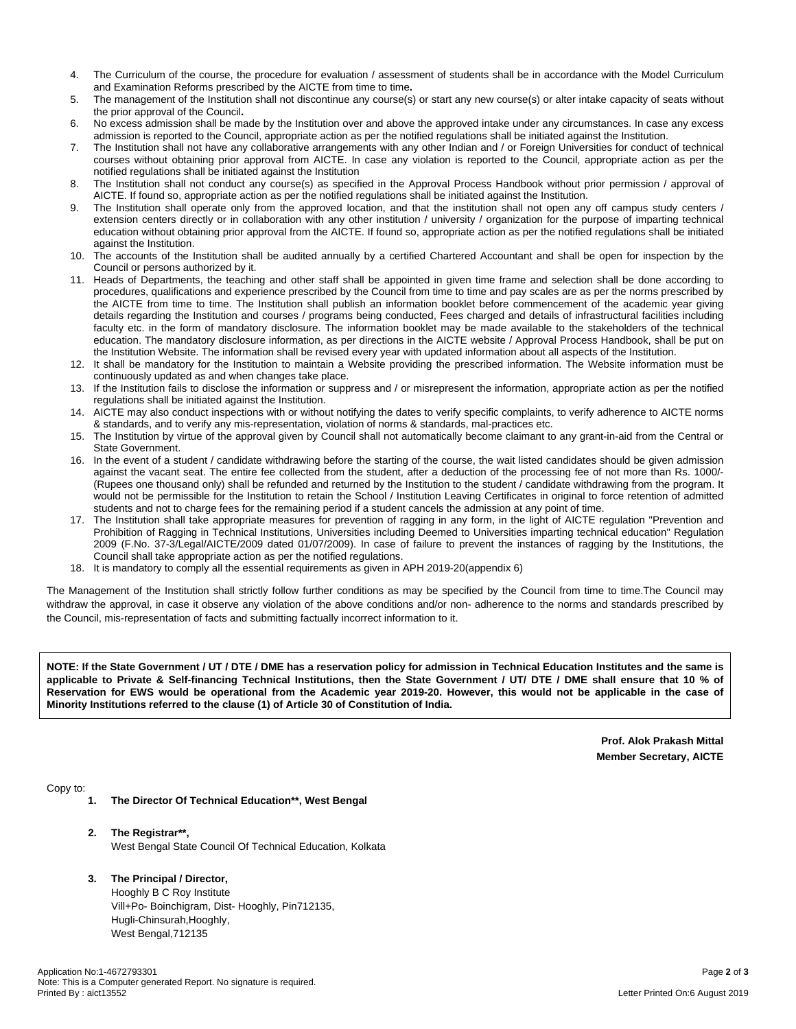- 4. The Curriculum of the course, the procedure for evaluation / assessment of students shall be in accordance with the Model Curriculum and Examination Reforms prescribed by the AICTE from time to time**.**
- 5. The management of the Institution shall not discontinue any course(s) or start any new course(s) or alter intake capacity of seats without the prior approval of the Council**.**
- 6. No excess admission shall be made by the Institution over and above the approved intake under any circumstances. In case any excess admission is reported to the Council, appropriate action as per the notified regulations shall be initiated against the Institution.
- 7. The Institution shall not have any collaborative arrangements with any other Indian and / or Foreign Universities for conduct of technical courses without obtaining prior approval from AICTE. In case any violation is reported to the Council, appropriate action as per the notified regulations shall be initiated against the Institution
- 8. The Institution shall not conduct any course(s) as specified in the Approval Process Handbook without prior permission / approval of AICTE. If found so, appropriate action as per the notified regulations shall be initiated against the Institution.
- 9. The Institution shall operate only from the approved location, and that the institution shall not open any off campus study centers / extension centers directly or in collaboration with any other institution / university / organization for the purpose of imparting technical education without obtaining prior approval from the AICTE. If found so, appropriate action as per the notified regulations shall be initiated against the Institution.
- 10. The accounts of the Institution shall be audited annually by a certified Chartered Accountant and shall be open for inspection by the Council or persons authorized by it.
- 11. Heads of Departments, the teaching and other staff shall be appointed in given time frame and selection shall be done according to procedures, qualifications and experience prescribed by the Council from time to time and pay scales are as per the norms prescribed by the AICTE from time to time. The Institution shall publish an information booklet before commencement of the academic year giving details regarding the Institution and courses / programs being conducted, Fees charged and details of infrastructural facilities including faculty etc. in the form of mandatory disclosure. The information booklet may be made available to the stakeholders of the technical education. The mandatory disclosure information, as per directions in the AICTE website / Approval Process Handbook, shall be put on the Institution Website. The information shall be revised every year with updated information about all aspects of the Institution.
- 12. It shall be mandatory for the Institution to maintain a Website providing the prescribed information. The Website information must be continuously updated as and when changes take place.
- 13. If the Institution fails to disclose the information or suppress and / or misrepresent the information, appropriate action as per the notified regulations shall be initiated against the Institution.
- 14. AICTE may also conduct inspections with or without notifying the dates to verify specific complaints, to verify adherence to AICTE norms & standards, and to verify any mis-representation, violation of norms & standards, mal-practices etc.
- 15. The Institution by virtue of the approval given by Council shall not automatically become claimant to any grant-in-aid from the Central or State Government.
- 16. In the event of a student / candidate withdrawing before the starting of the course, the wait listed candidates should be given admission against the vacant seat. The entire fee collected from the student, after a deduction of the processing fee of not more than Rs. 1000/- (Rupees one thousand only) shall be refunded and returned by the Institution to the student / candidate withdrawing from the program. It would not be permissible for the Institution to retain the School / Institution Leaving Certificates in original to force retention of admitted students and not to charge fees for the remaining period if a student cancels the admission at any point of time.
- 17. The Institution shall take appropriate measures for prevention of ragging in any form, in the light of AICTE regulation "Prevention and Prohibition of Ragging in Technical Institutions, Universities including Deemed to Universities imparting technical education" Regulation 2009 (F.No. 37-3/Legal/AICTE/2009 dated 01/07/2009). In case of failure to prevent the instances of ragging by the Institutions, the Council shall take appropriate action as per the notified regulations.
- 18. It is mandatory to comply all the essential requirements as given in APH 2019-20(appendix 6)

The Management of the Institution shall strictly follow further conditions as may be specified by the Council from time to time.The Council may withdraw the approval, in case it observe any violation of the above conditions and/or non- adherence to the norms and standards prescribed by the Council, mis-representation of facts and submitting factually incorrect information to it.

NOTE: If the State Government / UT / DTE / DME has a reservation policy for admission in Technical Education Institutes and the same is applicable to Private & Self-financing Technical Institutions, then the State Government / UT/ DTE / DME shall ensure that 10 % of Reservation for EWS would be operational from the Academic year 2019-20. However, this would not be applicable in the case of **Minority Institutions referred to the clause (1) of Article 30 of Constitution of India.**

> **Prof. Alok Prakash Mittal Member Secretary, AICTE**

Copy to:

- **1. The Director Of Technical Education\*\*, West Bengal**
- **2. The Registrar\*\*,** West Bengal State Council Of Technical Education, Kolkata
- **3. The Principal / Director,**

Hooghly B C Roy Institute Vill+Po- Boinchigram, Dist- Hooghly, Pin712135, Hugli-Chinsurah,Hooghly, West Bengal,712135